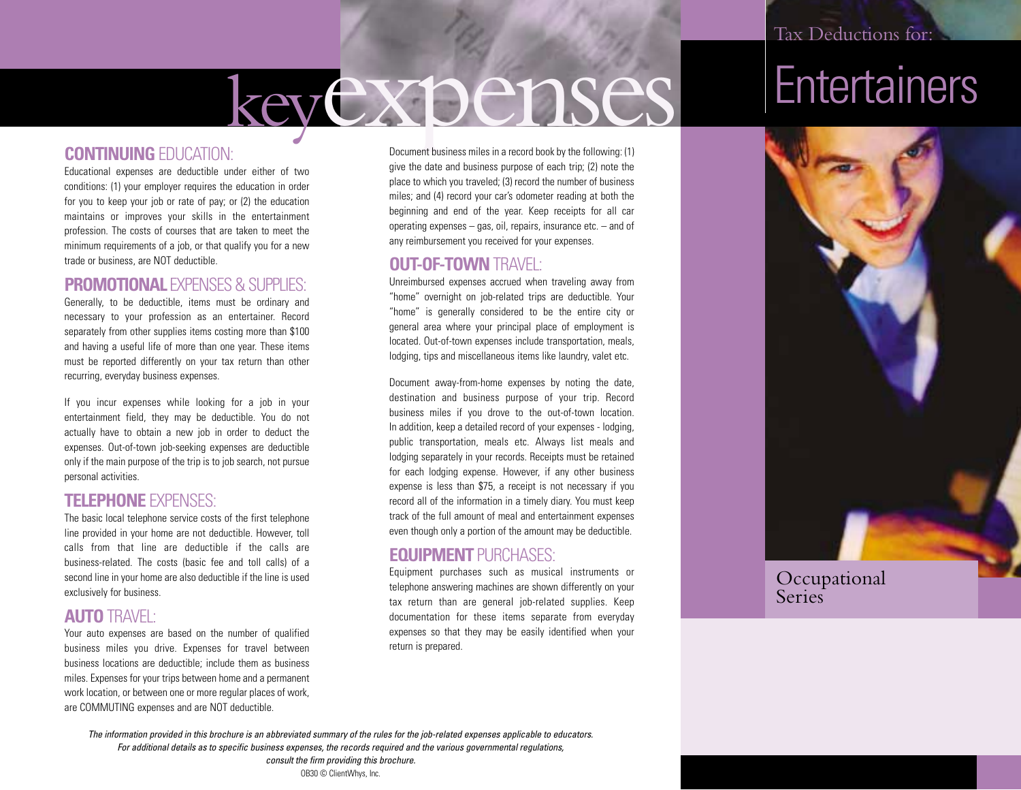# keyexpenses

#### **CONTINUING** EDUCATION:

Educational expenses are deductible under either of two conditions: (1) your employer requires the education in order for you to keep your job or rate of pay; or (2) the education maintains or improves your skills in the entertainment profession. The costs of courses that are taken to meet the minimum requirements of a job, or that qualify you for a new trade or business, are NOT deductible.

#### **PROMOTIONAL EXPENSES & SUPPLIES:**

Generally, to be deductible, items must be ordinary and necessary to your profession as an entertainer. Record separately from other supplies items costing more than \$100 and having a useful life of more than one year. These items must be reported differently on your tax return than other recurring, everyday business expenses.

If you incur expenses while looking for a job in your entertainment field, they may be deductible. You do not actually have to obtain a new job in order to deduct the expenses. Out-of-town job-seeking expenses are deductible only if the main purpose of the trip is to job search, not pursue personal activities.

#### **TELEPHONE** EXPENSES:

The basic local telephone service costs of the first telephone line provided in your home are not deductible. However, toll calls from that line are deductible if the calls are business-related. The costs (basic fee and toll calls) of a second line in your home are also deductible if the line is used exclusively for business.

#### **AUTO** TRAVEL:

Your auto expenses are based on the number of qualified business miles you drive. Expenses for travel between business locations are deductible; include them as business miles. Expenses for your trips between home and a permanent work location, or between one or more regular places of work, are COMMUTING expenses and are NOT deductible.

Document business miles in a record book by the following: (1) give the date and business purpose of each trip; (2) note the place to which you traveled; (3) record the number of business miles; and (4) record your car's odometer reading at both the beginning and end of the year. Keep receipts for all car operating expenses – gas, oil, repairs, insurance etc. – and of any reimbursement you received for your expenses.

#### **OUT-OF-TOWN** TRAVEL:

Unreimbursed expenses accrued when traveling away from "home" overnight on job-related trips are deductible. Your "home" is generally considered to be the entire city or general area where your principal place of employment is located. Out-of-town expenses include transportation, meals, lodging, tips and miscellaneous items like laundry, valet etc.

Document away-from-home expenses by noting the date, destination and business purpose of your trip. Record business miles if you drove to the out-of-town location. In addition, keep a detailed record of your expenses - lodging, public transportation, meals etc. Always list meals and lodging separately in your records. Receipts must be retained for each lodging expense. However, if any other business expense is less than \$75, a receipt is not necessary if you record all of the information in a timely diary. You must keep track of the full amount of meal and entertainment expenses even though only a portion of the amount may be deductible.

#### **EQUIPMENT** PURCHASES:

Equipment purchases such as musical instruments or telephone answering machines are shown differently on your tax return than are general job-related supplies. Keep documentation for these items separate from everyday expenses so that they may be easily identified when your return is prepared.





Occupational **Series** 

*The information provided in this brochure is an abbreviated summary of the rules for the job-related expenses applicable to educators. For additional details as to specific business expenses, the records required and the various governmental regulations,* 

> *consult the firm providing this brochure.* OB30 © ClientWhys, Inc.